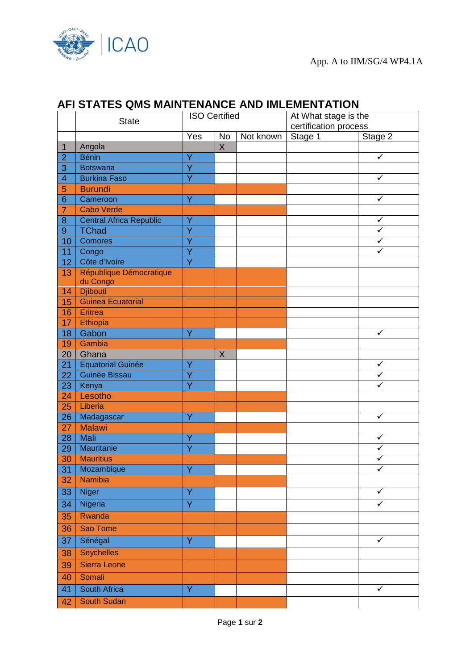

## **AFI STATES QMS MAINTENANCE AND IMLEMENTATION**

|                 | <b>State</b>                   | <b>ISO Certified</b>    |           | At What stage is the<br>certification process |         |                         |
|-----------------|--------------------------------|-------------------------|-----------|-----------------------------------------------|---------|-------------------------|
|                 |                                | Yes                     | <b>No</b> | Not known                                     | Stage 1 | Stage 2                 |
| $\mathbf{1}$    | Angola                         |                         | X         |                                               |         |                         |
| $\overline{2}$  | <b>Bénin</b>                   | Y                       |           |                                               |         | ✓                       |
| 3               | <b>Botswana</b>                | Ý                       |           |                                               |         |                         |
| $\overline{4}$  | <b>Burkina Faso</b>            | Ÿ                       |           |                                               |         | $\checkmark$            |
| 5               | <b>Burundi</b>                 |                         |           |                                               |         |                         |
| 6               | Cameroon                       | Ÿ                       |           |                                               |         | ✓                       |
| 7               | <b>Cabo Verde</b>              |                         |           |                                               |         |                         |
| 8               | <b>Central Africa Republic</b> | Ÿ                       |           |                                               |         | ✓                       |
| 9               | TChad                          | Ý                       |           |                                               |         | ✓                       |
| 10              | <b>Comores</b>                 | Ÿ                       |           |                                               |         | $\checkmark$            |
| 11              | Congo                          | Ÿ                       |           |                                               |         | $\checkmark$            |
| 12              | Côte d'Ivoire                  | $\overline{\mathsf{Y}}$ |           |                                               |         |                         |
| 13              | République Démocratique        |                         |           |                                               |         |                         |
|                 | du Congo                       |                         |           |                                               |         |                         |
| 14              | <b>Djibouti</b>                |                         |           |                                               |         |                         |
| 15              | <b>Guinea Ecuatorial</b>       |                         |           |                                               |         |                         |
| 16              | Eritrea                        |                         |           |                                               |         |                         |
| 17              | Ethiopia                       |                         |           |                                               |         |                         |
| 18              | Gabon                          | Ÿ                       |           |                                               |         | $\checkmark$            |
| 19              | Gambia                         |                         |           |                                               |         |                         |
| 20              | Ghana                          |                         | $\sf X$   |                                               |         |                         |
| 21              | <b>Equatorial Guinée</b>       | Ÿ                       |           |                                               |         | ✓                       |
| 22              | Guinée Bissau                  | Ÿ                       |           |                                               |         | $\overline{\checkmark}$ |
| 23              | Kenya                          | Ÿ                       |           |                                               |         | ✓                       |
| 24              | Lesotho                        |                         |           |                                               |         |                         |
| 25              | Liberia                        |                         |           |                                               |         |                         |
| 26              | Madagascar                     | Ÿ                       |           |                                               |         | $\checkmark$            |
| 27              | <b>Malawi</b>                  |                         |           |                                               |         |                         |
| 28              | Mali                           | Ý                       |           |                                               |         | $\checkmark$            |
| 29              | Mauritanie                     | Ÿ                       |           |                                               |         | $\checkmark$            |
| 30              | <b>Mauritius</b>               |                         |           |                                               |         | ✓                       |
| 31              | Mozambique                     | Ÿ                       |           |                                               |         | $\checkmark$            |
| 32              | Namibia                        |                         |           |                                               |         |                         |
| 33              | <b>Niger</b>                   | Ÿ                       |           |                                               |         | $\checkmark$            |
| $\overline{34}$ | Nigeria                        | $\overline{Y}$          |           |                                               |         | $\checkmark$            |
| 35              | Rwanda                         |                         |           |                                               |         |                         |
| 36              | Sao Tome                       |                         |           |                                               |         |                         |
| 37              | Sénégal                        | Ÿ                       |           |                                               |         | $\checkmark$            |
| 38              | <b>Seychelles</b>              |                         |           |                                               |         |                         |
| 39              | Sierra Leone                   |                         |           |                                               |         |                         |
| 40              | Somali                         |                         |           |                                               |         |                         |
| 41              | South Africa                   | Ÿ.                      |           |                                               |         | $\checkmark$            |
| 42              | South Sudan                    |                         |           |                                               |         |                         |